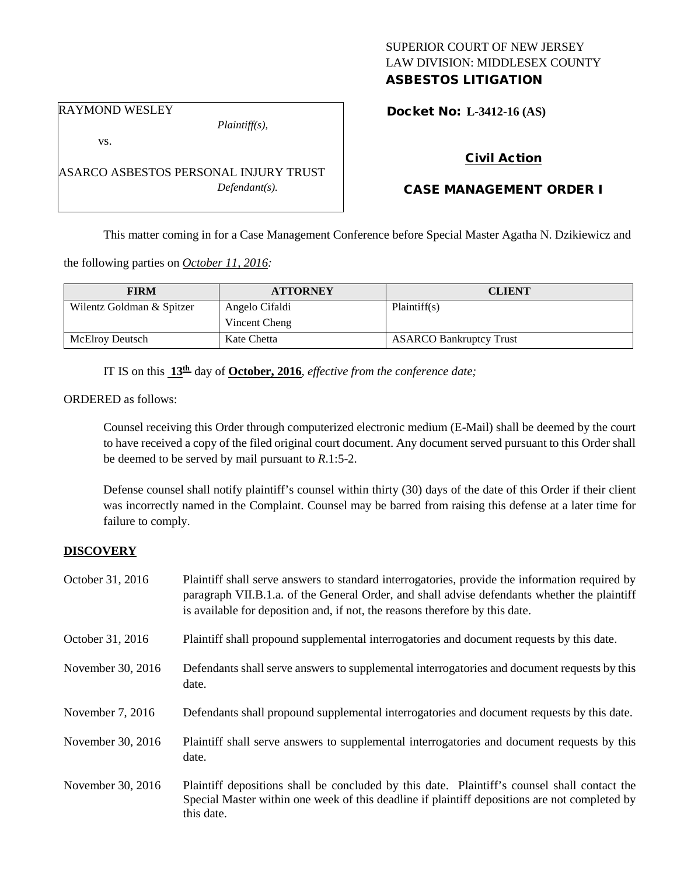## SUPERIOR COURT OF NEW JERSEY LAW DIVISION: MIDDLESEX COUNTY ASBESTOS LITIGATION

RAYMOND WESLEY

vs.

*Plaintiff(s),*

ASARCO ASBESTOS PERSONAL INJURY TRUST *Defendant(s).*

Docket No: **L-3412-16 (AS)** 

# Civil Action

# CASE MANAGEMENT ORDER I

This matter coming in for a Case Management Conference before Special Master Agatha N. Dzikiewicz and

the following parties on *October 11, 2016:*

| <b>FIRM</b>               | <b>ATTORNEY</b> | <b>CLIENT</b>                  |
|---------------------------|-----------------|--------------------------------|
| Wilentz Goldman & Spitzer | Angelo Cifaldi  | Plaintiff(s)                   |
|                           | Vincent Cheng   |                                |
| McElroy Deutsch           | Kate Chetta     | <b>ASARCO Bankruptcy Trust</b> |

IT IS on this **13th** day of **October, 2016**, *effective from the conference date;*

ORDERED as follows:

Counsel receiving this Order through computerized electronic medium (E-Mail) shall be deemed by the court to have received a copy of the filed original court document. Any document served pursuant to this Order shall be deemed to be served by mail pursuant to *R*.1:5-2.

Defense counsel shall notify plaintiff's counsel within thirty (30) days of the date of this Order if their client was incorrectly named in the Complaint. Counsel may be barred from raising this defense at a later time for failure to comply.

### **DISCOVERY**

| October 31, 2016  | Plaintiff shall serve answers to standard interrogatories, provide the information required by<br>paragraph VII.B.1.a. of the General Order, and shall advise defendants whether the plaintiff<br>is available for deposition and, if not, the reasons therefore by this date. |
|-------------------|--------------------------------------------------------------------------------------------------------------------------------------------------------------------------------------------------------------------------------------------------------------------------------|
| October 31, 2016  | Plaintiff shall propound supplemental interrogatories and document requests by this date.                                                                                                                                                                                      |
| November 30, 2016 | Defendants shall serve answers to supplemental interrogatories and document requests by this<br>date.                                                                                                                                                                          |
| November 7, 2016  | Defendants shall propound supplemental interrogatories and document requests by this date.                                                                                                                                                                                     |
| November 30, 2016 | Plaintiff shall serve answers to supplemental interrogatories and document requests by this<br>date.                                                                                                                                                                           |
| November 30, 2016 | Plaintiff depositions shall be concluded by this date. Plaintiff's counsel shall contact the<br>Special Master within one week of this deadline if plaintiff depositions are not completed by<br>this date.                                                                    |